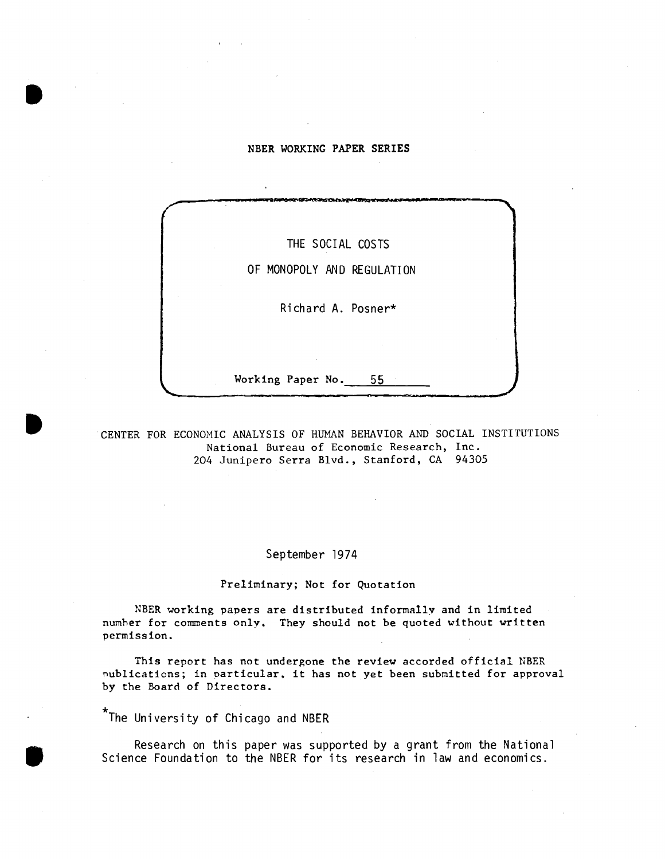#### NBER WORKING PAPER SERIES



CENTER FOR ECONOMIC ANALYSIS OF HUMAN BEHAVIOR AND SOCIAL INSTITUTIONS National Bureau of Economic Research, Inc. 204 Junipero Serra Blvd., Stanford, CA 94305

September 1974

#### Preliminary; Not for Quotation

NBER working pagers are distributed informally and in limited number for comments only. They should not be quoted without written permission.

This report has not undergone the review accorded official NBER nublications; in oarticular, it has not yet been submitted for approval by the Board of Directors.

 $\tilde{}$ The University of Chicago and <code>NBER</code>

Research on this paper was supported by a grant from the National Science Foundation to the NBER for its research in law and economics.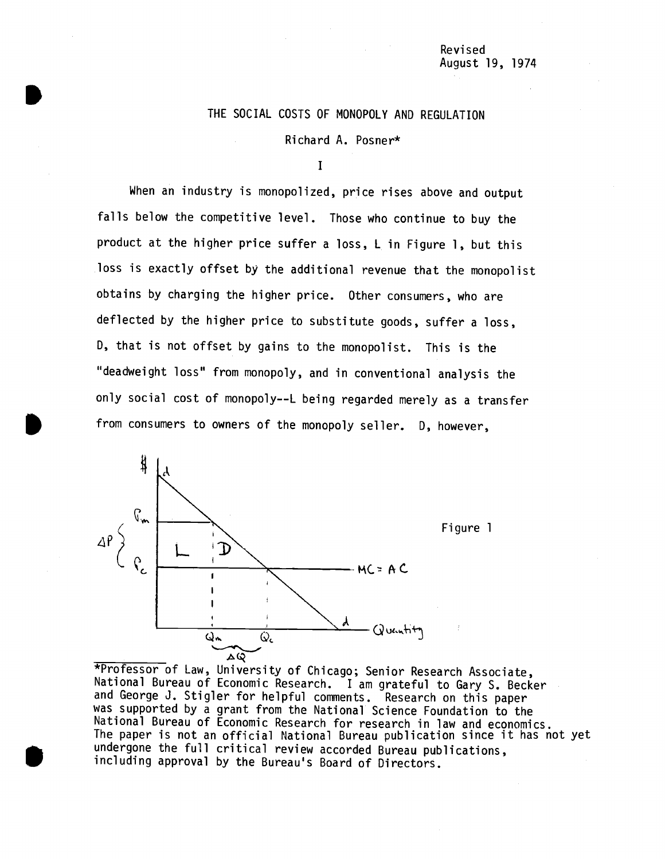# THE SOCIAL COSTS OF MONOPOLY AND REGULATION

Richard A. Posner\*

I

When an industry is monopolized, price rises above and output falls below the competitive level. Those who continue to buy the product at the higher price suffer a loss, L in Figure 1, but this loss is exactly offset by the additional revenue that the monopolist obtains by charging the higher price. Other consumers, who are deflected by the higher price to substitute goods, suffer a loss, D, that is not offset by gains to the monopolist. This is the "deadweight loss" from monopoly, and in conventional analysis the only social cost of monopoly--L being regarded merely as a transfer from consumers to owners of the monopoly seller. D, however,



\*professor of Law, University of Chicago; Senior Research Associate, National Bureau of Economic Research. I am grateful to Gary S. Becker and George J. Stigler for helpful comments. Research on this paper was supported by a grant from the National Science Foundation to the National Bureau of Economic Research for research in law and economics. The paper is not an official National Bureau publication since it has not yet undergone the full critical review accorded Bureau publications, including approval by the Bureau's Board of Directors.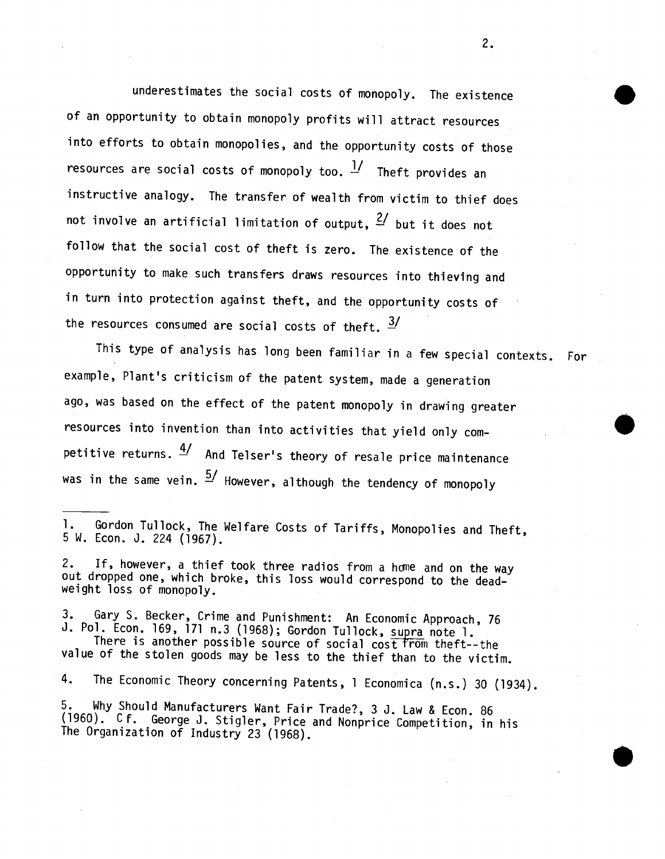underestimates the social costs of monopoly. The existence of an opportunity to obtain monopoly profits will attract resources into efforts to obtain monopolies, and the opportunity costs of those resources are social costs of monopoly too.  $\frac{1}{1}$  Theft provides an instructive analogy. The transfer of wealth from victim to thief does not involve an artificial limitation of output,  $\frac{2}{1}$  but it does not follow that the social cost of theft is zero. The existence of the opportunity to make such transfers draws resources into thieving and in turn into protection against theft, and the opportunity costs of the resources consumed are social costs of theft.  $\frac{3}{2}$ 

This type of analysis has long been familiar in a few special contexts. For example, Plant's criticism of the patent system, made a generation ago, was based on the effect of the patent monopoly in drawing greater resources into invention than into activities that yield only competitive returns.  $\frac{4}{1}$  And Telser's theory of resale price maintenance was in the same vein.  $\frac{5}{1}$  However, although the tendency of monopoly

1. Gordon Tullock, The Welfare Costs of Tariffs, Monopolies and Theft, 5 W. Econ. J. 224 (1967).

2. If, however, a thief took three radios from a home and on the way out dropped one, which broke, this loss would correspond to the deadweight loss of monopoly.

3. Gary S. Becker, Crime and Punishment: An Economic Approach, 76 J. Pol. Econ. 169, 171 n.3 (1968); Gordon Tullock, supra note 1. There is another possible source of social cost from theft--the value of the stolen goods may be less to the thief than to the victim. 4. The Economic Theory concerning Patents, 1 Economica (n.s.) 30 (1934). 5. Why Should Manufacturers Want Fair Trade?, 3 J. Law & Econ. 86 (1960). Cf. George J. Stigler, Price and Nonprice Competition, in his

The Organization of Industry 23 (1968).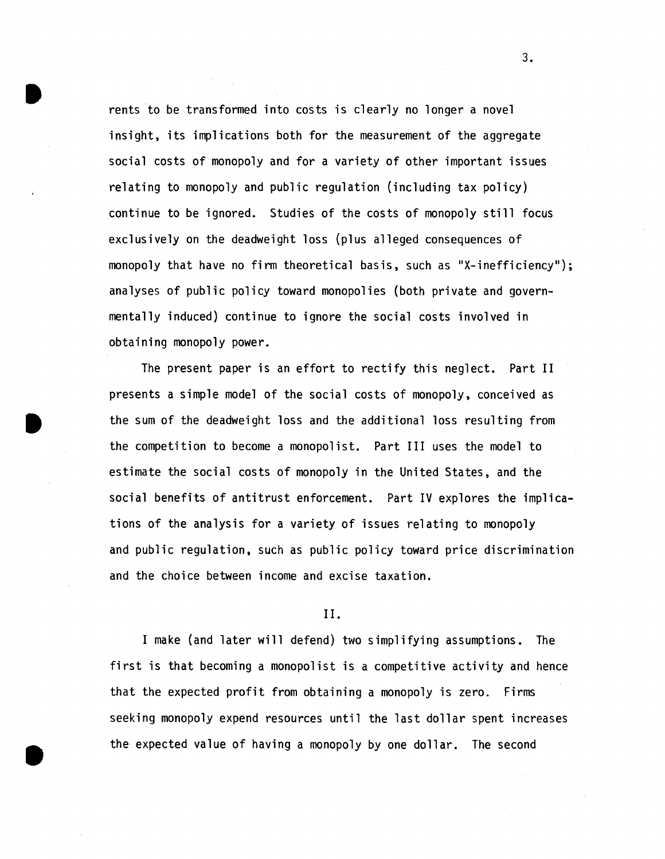rents to be transformed into costs is clearly no longer a novel insight, its implications both for the measurement of the aggregate social costs of monopoly and for a variety of other important issues relating to monopoly and public regulation (including tax policy) continue to be ignored. Studies of the costs of monopoly still focus exclusively on the deadweight loss (plus alleged consequences of monopoly that have no firm theoretical basis, such as "X-inefficiency"); analyses of public policy toward monopolies (both private and governmentally induced) continue to ignore the social costs involved in obtaining monopoly power.

The present paper is an effort to rectify this neglect. Part II presents a simple model of the social costs of monopoly, conceived as the sum of the deadweight loss and the additional loss resulting from the competition to become a monopolist. Part III uses the model to estimate the social costs of monopoly in the United States, and the social benefits of antitrust enforcement. Part IV explores the implications of the analysis for a variety of issues relating to monopoly and public regulation, such as public policy toward price discrimination and the choice between income and excise taxation.

### II.

I make (and later will defend) two simplifying assumptions. The first is that becoming a monopolist is a competitive activity and hence that the expected profit from obtaining a monopoly is zero. Firms seeking monopoly expend resources until the last dollar spent increases the expected value of having a monopoly by one dollar. The second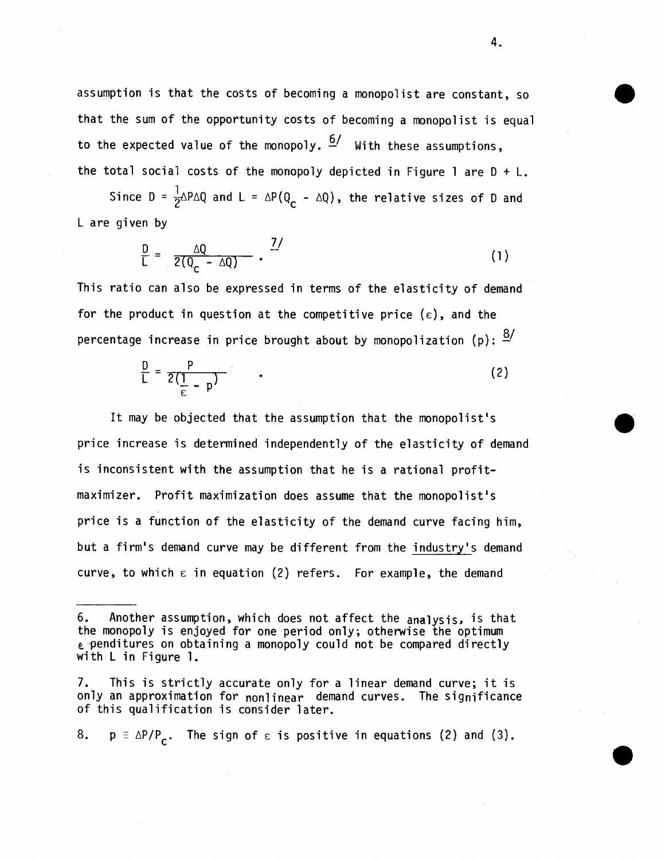assumption is that the costs of becoming a monopolist are constant, so that the sum of the opportunity costs of becoming a monopolist is equal to the expected value of the monopoly,  $\frac{6}{ }$  with these assumptions, the total social costs of the monopoly depicted in Figure 1 are  $D + L$ .

Since D =  $\frac{1}{2}$ APAQ and L = AP(Q<sub>C</sub> - AQ), the relative sizes of D and L are given by

$$
\frac{D}{L} = \frac{\Delta Q}{2(Q_C - \Delta Q)} \tag{1}
$$

This ratio can also be expressed in terms of the elasticity of demand for the product in question at the competitive price  $(\epsilon)$ , and the percentage increase in price brought about by monopolization (p):  $\frac{8}{1}$ 

$$
\frac{D}{L} = \frac{P}{2(\frac{1}{E} - p)}
$$
 (2)

It may be objected that the assumption that the monopolist's price increase is determined independently of the elasticity of demand is inconsistent with the assumption that he is a rational profit maximizer. Profit maximization does assume that the monopolist's price is a function of the elasticity of the demand curve facing him, but a firm's demand curve may be different from the industry's demand curve, to which  $\epsilon$  in equation (2) refers. For example, the demand

8.  $p \equiv \Delta P/P_c$ . The sign of  $\epsilon$  is positive in equations (2) and (3).

<sup>6.</sup> Another assumption, which does not affect the analysis, is that the monopoly is enjoyed for one period only; otherwise the optimum  $e$  penditures on obtaining a monopoly could not be compared directly with L in Figure 1.

<sup>7.</sup> This is strictly accurate only for a linear demand curve; it is only an approximation for nonlinear demand curves. The significance of this qualification is consider later.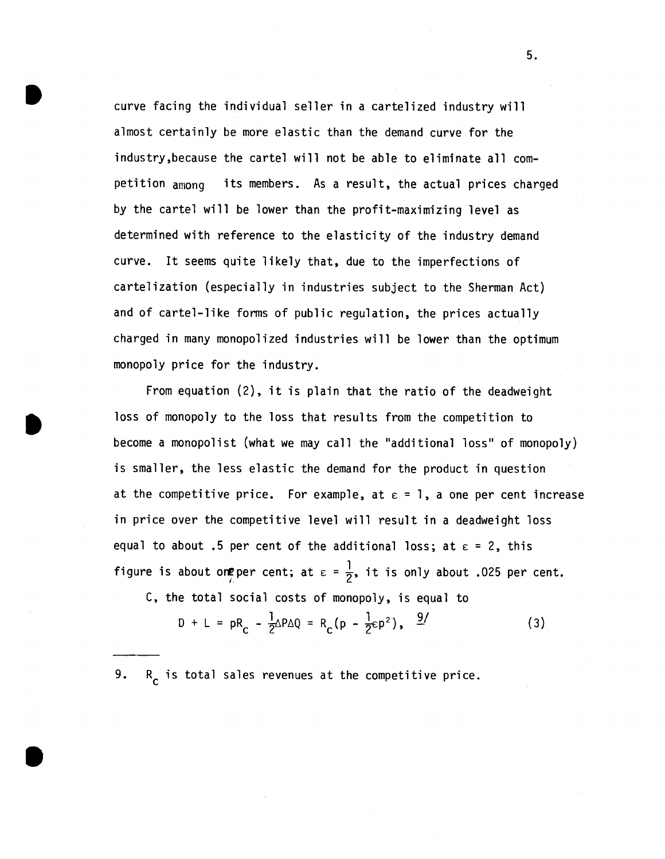curve facing the individual seller in a cartelized industry will almost certainly be more elastic than the demand curve for the industry,because the cartel will not be able to eliminate all competition among its members. As a result, the actual prices charged by the cartel will be lower than the profit-maximizing level as determined with reference to the elasticity of the industry demand curve. It seems quite likely that, due to the imperfections of cartelization (especially in industries subject to the Sherman Act) and of cartel-like forms of public regulation, the prices actually charged in many monopolized industries will be lower than the optimum monopoly price for the industry.

From equation (2), it is plain that the ratio of the deadweight loss of monopoly to the loss that results from the competition to become a monopolist (what we may call the "additional loss" of monopoly) is smaller, the less elastic the demand for the product in question at the competitive price. For example, at  $\varepsilon = 1$ , a one per cent increase in price over the competitive level will result in a deadweight loss equal to about .5 per cent of the additional loss; at  $\varepsilon = 2$ , this figure is about on per cent; at  $\varepsilon = \frac{1}{2}$ , it is only about .025 per cent.

C, the total social costs of monopoly, is equal to

$$
D + L = pR_C - \frac{1}{2}\Delta P \Delta Q = R_C(p - \frac{1}{2}\epsilon p^2), \quad \frac{9}{2}
$$
 (3)

9.  $R_c$  is total sales revenues at the competitive price.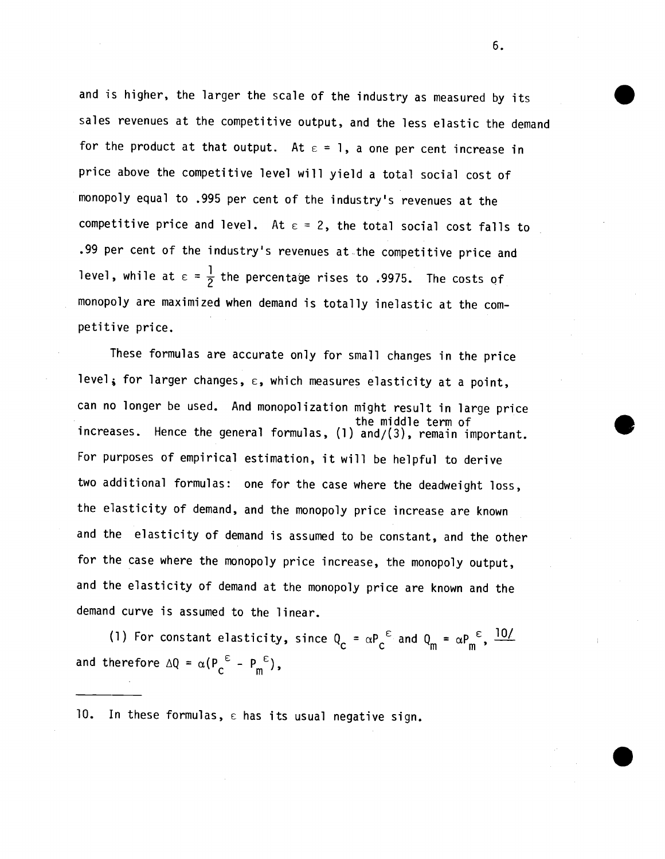and is higher, the larger the scale of the industry as measured by its sales revenues at the competitive output, and the less elastic the demand for the product at that output. At  $\varepsilon = 1$ , a one per cent increase in price above the competitive level will yield a total social cost of monopoly equal to .995 per cent of the industry's revenues at the competitive price and level. At  $\varepsilon = 2$ , the total social cost falls to .99 per cent of the industry's revenues at the competitive price and level, while at  $\epsilon = \frac{1}{2}$  the percentage rises to .9975. The costs of monopoly are maximized when demand is totally inelastic at the competitive price.

These formulas are accurate only for small changes in the price level, for larger changes,  $\varepsilon$ , which measures elasticity at a point, can no longer be used. And monopolization might result in large price ean no ronger be used. And monoporization might result in large price<br>the middle term of<br>increases. Hence the general formulas, (1) and/(3), remain important. For purposes of empirical estimation, it will be helpful to derive two additional formulas: one for the case where the deadweight loss, the elasticity of demand, and the monopoly price increase are known and the elasticity of demand is assumed to be constant, and the other for the case where the monopoly price increase, the monopoly output, and the elasticity of demand at the monopoly price are known and the demand curve is assumed to the linear.

(1) For constant elasticity, since  $Q_c = \alpha P_c^{\epsilon}$  and  $Q_m = \alpha P_m^{\epsilon}$ ,  $\frac{10}{2}$ and therefore  $\Delta Q = \alpha (P_{\text{c}}^{\epsilon} - P_{\text{m}}^{\epsilon})$ ,

10. In these formulas,  $\epsilon$  has its usual negative sign.

6.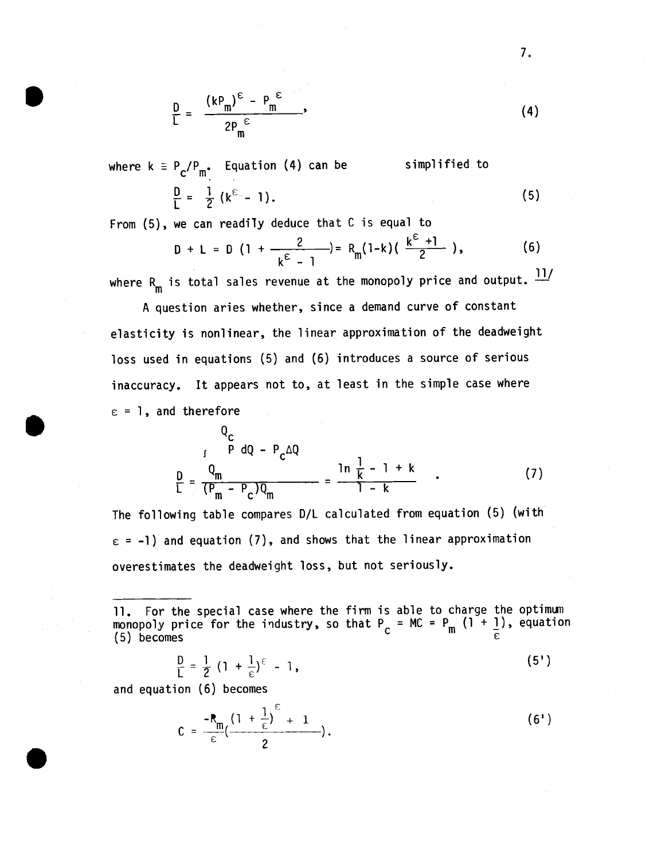$$
\frac{D}{L} = \frac{(kP_m)^{\epsilon} - P_m^{\epsilon}}{2P_m^{\epsilon}}
$$
 (4)

7.

where k =  $P_c/P_m$ . Equation (4) can be simplified to  $\frac{D}{1} = \frac{1}{2} (k^{\epsilon} - 1).$  (5)

From (5), we can readily deduce that C is equal to

$$
D + L = D (1 + \frac{2}{k^{\epsilon} - 1}) = R_{m}(1-k)(\frac{k^{\epsilon} + 1}{2}), \qquad (6)
$$

where  $\bm{\mathsf{R}_{\mathrm{m}}}$  is total sales revenue at the monopoly price and output.  $-\!-\!$ 

A question aries whether, since a demand curve of constant elasticity is nonlinear, the linear approximation of the deadweight loss used in equations (5) and (6) introduces a source of serious inaccuracy. It appears not to, at least in the simple case where  $\varepsilon$  = 1, and therefore

$$
\frac{q_c}{L} = \frac{q_m}{(P_m - P_c)q_m} = \frac{\ln\frac{1}{k} - 1 + k}{1 - k}
$$
 (7)

The following table compares D/L calculated from equation (5) (with  $\epsilon$  = -1) and equation (7), and shows that the linear approximation overestimates the deadweight loss, but not seriously.

$$
\frac{D}{L} = \frac{1}{2} \left( 1 + \frac{1}{\epsilon} \right)^{\epsilon} - 1, \qquad (5')
$$

and equation (6) becomes

$$
C = \frac{-R_m}{\epsilon} \left( \frac{\left(1 + \frac{1}{\epsilon}\right)^{\epsilon} + 1}{2} \right).
$$
 (6')

<sup>11.</sup> For the special case where the firm is able to charge the optimum<br>monopoly price for the industry, so that P = MC = P (1 + 1), equation<br>(5) because (5) becomes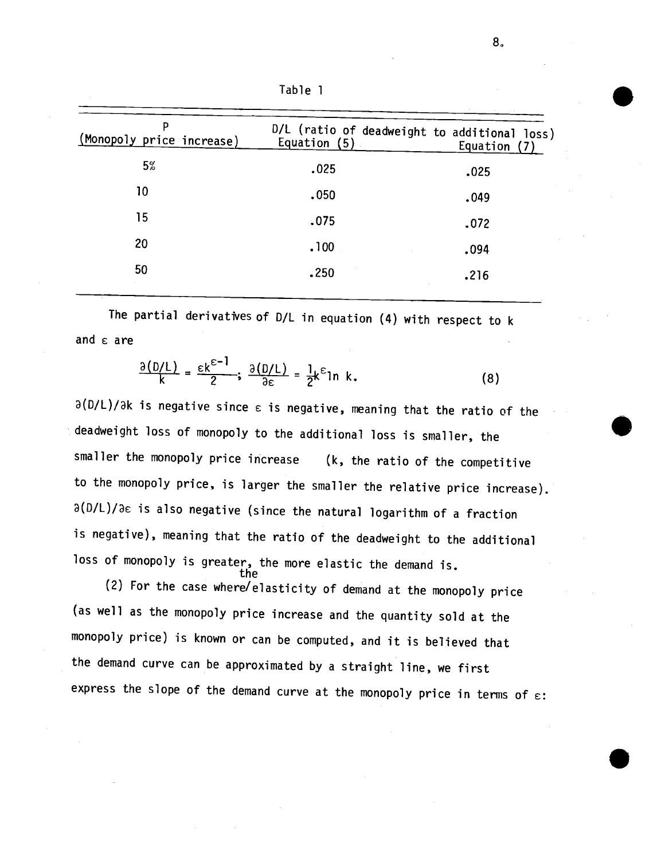| Table |
|-------|
|-------|

| P<br>(Monopoly price increase) | D/L (ratio of deadweight to additional loss)<br>Equation (5) | Equation (7) |
|--------------------------------|--------------------------------------------------------------|--------------|
| 5%                             | .025                                                         | .025         |
| 10                             | .050                                                         | .049         |
| 15                             | .075                                                         | .072         |
| 20                             | .100                                                         | .094         |
| 50                             | .250                                                         | .216         |

The partial derivatives of D/L in equation (4) with respect to k and  $\epsilon$  are

$$
\frac{\partial(D/L)}{k} = \frac{\epsilon k^{\epsilon - 1}}{2}; \frac{\partial(D/L)}{\partial \epsilon} = \frac{1}{2}k^{\epsilon} \ln k.
$$
 (8)

 $\partial(D/L)/\partial k$  is negative since  $\epsilon$  is negative, meaning that the ratio of the deadweight loss of monopoly to the additional loss is smaller, the smaller the monopoly price increase (k, the ratio of the competitive to the monopoly price, is larger the smaller the relative price increase).  $\partial(D/L)/\partial \varepsilon$  is also negative (since the natural logarithm of a fraction is negative), meaning that the ratio of the deadweight to the additional loss of monopoly is greater, the more elastic the demand is.<br>the the

(2) For the case where/elasticity of demand at the monopoly price (as well as the monopoly price increase and the quantity sold at the monopoly price) is known or can be computed, and it is believed that the demand curve can be approximated by a straight line, we first express the slope of the demand curve at the monopoly price in terms of  $\varepsilon$ :

 $\bullet$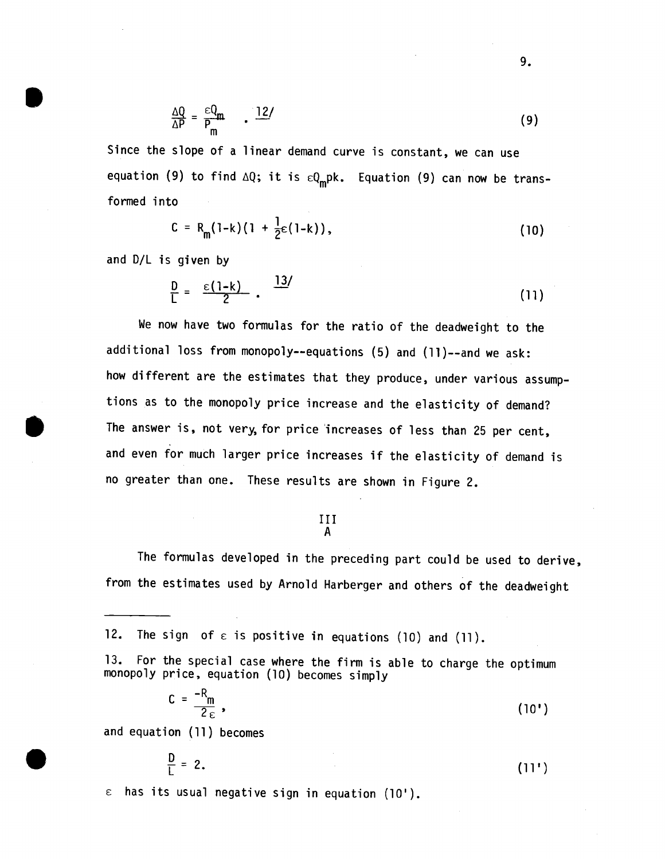$$
\frac{\Delta Q}{\Delta P} = \frac{\varepsilon Q_m}{P_m} \qquad . \qquad \frac{12}{}
$$
 (9)

Since the slope of a linear demand curve is constant, we can use equation (9) to find  $\Delta Q$ ; it is  $\epsilon Q_m$ pk. Equation (9) can now be transformed into

$$
C = R_m(1-k)(1 + \frac{1}{2}\epsilon(1-k)),
$$
 (10)

and D/L is given by

$$
\frac{D}{L} = \frac{\varepsilon (1-k)}{2} \qquad (11)
$$

We now have two formulas for the ratio of the deadweight to the additional loss from monopoly--equations (5) and (11)--and we ask: how different are the estimates that they produce, under various assumptions as to the monopoly price increase and the elasticity of demand? The answer is, not very, for price increases of less than 25 per cent, and even for much larger price increases if the elasticity of demand is no greater than one. These results are shown in Figure 2.

#### III A

The formulas developed in the preceding part could be used to derive, from the estimates used by Arnold Harberger and others of the deadweight

12. The sign of  $\varepsilon$  is positive in equations (10) and (11).

13. For the special case where the firm is able to charge the optimum monopoly price, equation (10) becomes simply

$$
C = \frac{-R_m}{2 \epsilon} \tag{10'}
$$

and equation (11) becomes

$$
\frac{\mathbf{D}}{\mathbf{L}} = 2. \tag{11'}
$$

 $\epsilon$  has its usual negative sign in equation (10').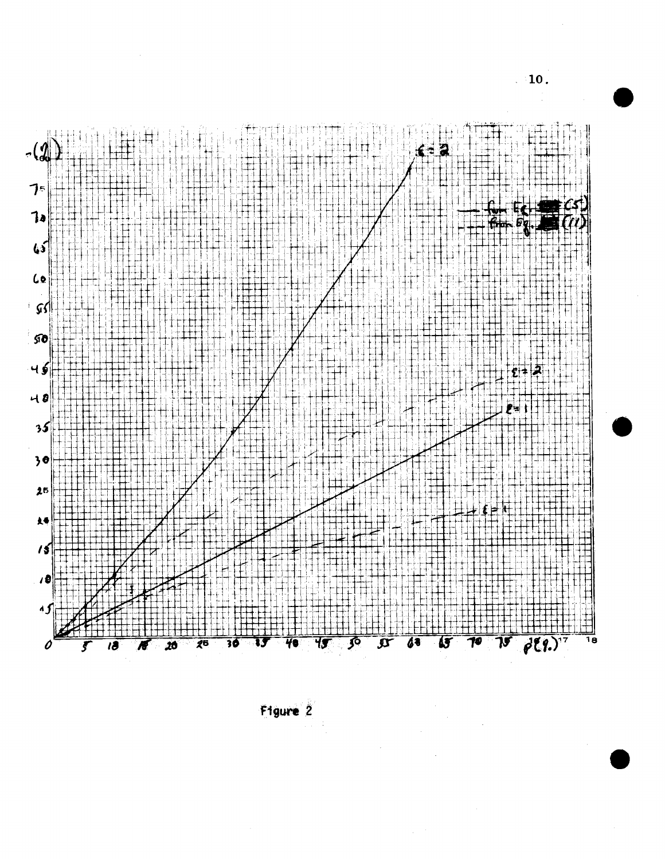

Figure 2

 $\cdot$  10.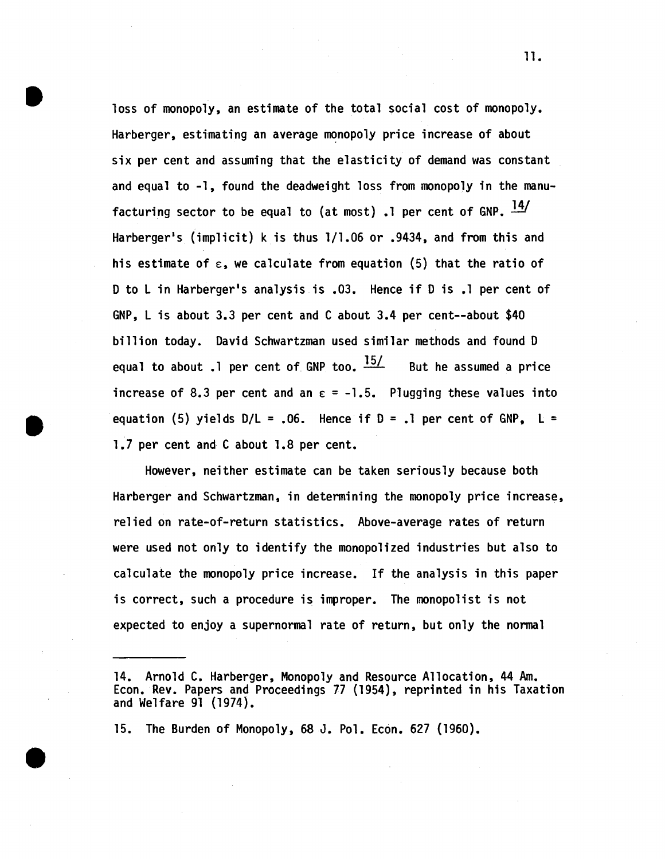loss of monopoly, an estimate of the total social cost of monopoly. Harberger, estimating an average monopoly price increase of about six per cent and assuming that the elasticity of demand was constant and equal to -1, found the deadweight loss from monopoly in the manufacturing sector to be equal to (at most) .1 per cent of GNP.  $\frac{14}{1}$ Harberger's (implicit) k is thus 1/1.06 or .9434, and from this and his estimate of  $\varepsilon$ , we calculate from equation (5) that the ratio of 0 to L in Harberger's analysis is .03. Hence if D is .1 per cent of GNP, L is about 3.3 per cent and C about 3.4 per cent—-about \$40 billion today. David Schwartzman used similar methods and found D equal to about .1 per cent of GNP too.  $\frac{15}{10}$  But he assumed a price increase of 8.3 per cent and an  $\varepsilon = -1.5$ . Plugging these values into equation (5) yields  $D/L = .06$ . Hence if  $D = .1$  per cent of GNP. L = 1.7 per cent and C about 1.8 per cent.

However, neither estimate can be taken seriously because both Harberger and Schwartzman, in determining the monopoly price increase, relied on rate-of-return statistics. Above-average rates of return were used not only to identify the monopolized industries but also to calculate the monopoly price increase. If the analysis in this paper is correct, such a procedure is improper. The monopolist is not expected to enjoy a supernormal rate of return, but only the normal

15. The Burden of Monopoly, 68 J. Pol. Ecón. 627 (1960).

<sup>14.</sup> Arnold C. Harberger, Monopoly and Resource Allocation, 44 Am. Econ. Rev. Papers and Proceedings 77 (1954), reprinted in his Taxation and Welfare 91 (1974).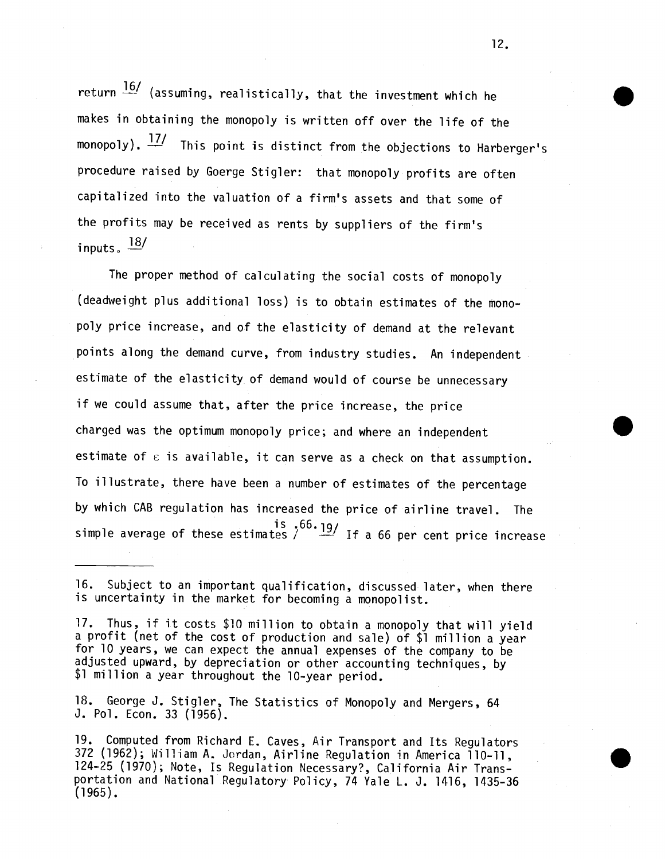return  $\frac{16}{16}$  (assuming, realistically, that the investment which he makes in obtaining the monopoly is written off over the life of the monopoly).  $\frac{17}{15}$  This point is distinct from the objections to Harberger's procedure raised by Goerge Stigler: that monopoly profits are often capitalized into the valuation of a firm's assets and that some of the profits may be received as rents by suppliers of the firm's inputs.  $\frac{18}{ }$ 

The proper method of calculating the social costs of monopoly (deadweight plus additional loss) is to obtain estimates of the monopoly price increase, and of the elasticity of demand at the relevant points along the demand curve, from industry studies. An independent estimate of the elasticity of demand would of course be unnecessary if we could assume that, after the price increase, the price charged was the optimum monopoly price; and where an independent estimate of  $\varepsilon$  is available, it can serve as a check on that assumption. To illustrate, there have been a number of estimates of the percentage by which CAB regulation has increased the price of airline travel. The is .66.19/ If a 66 per cent price increase<br>simple average of these estimates / If a 66 per cent price increase

17. Thus, if it costs \$10 million to obtain a monopoly that will yield a profit (net of the cost of production and sale) of \$1 million a year for 10 years, we can expect the annual expenses of the company to be adjusted upward, by depreciation or other accounting techniques, by \$1 million a year throughout the 10-year period.

18. George J. Stigler, The Statistics of Monopoly and Mergers, 64 J. Pol. Econ. 33 (1956).

19. Computed from Richard E. Caves, Air Transport and Its Regulators 372 (1962); William A. Jordan, Airline Regulation in America 110—li, 124-25 (1970); Note, Is Regulation Necessary?, California Air Transportation and National Regulatory Policy, 74 Yale L. 3. 1416, 1435—36 (1965).

<sup>16.</sup> Subject to an important qualification, discussed later, when there is uncertainty in the market for becoming a monopolist.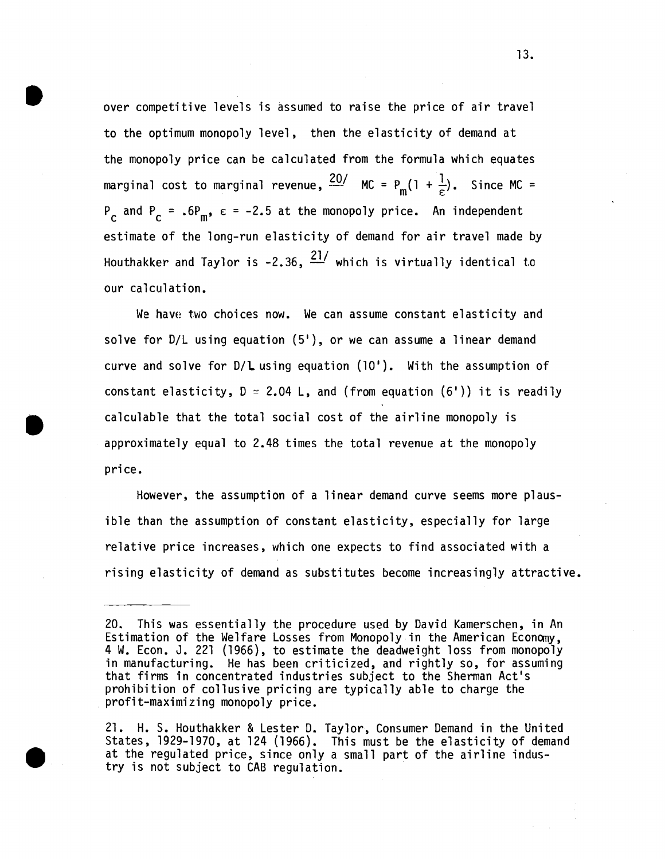over competitive levels is assumed to raise the price of air travel to the optimum monopoly level, then the elasticity of demand at the monopoly price can be calculated from the formula which equates marginal cost to marginal revenue,  $\frac{20}{s}$  MC = P<sub>m</sub>(1 +  $\frac{1}{s}$ ). Since MC = P<sub>c</sub> and P<sub>c</sub> = .6P<sub>m</sub>,  $\epsilon$  = -2.5 at the monopoly price. An independent estimate of the long-run elasticity of demand for air travel made by Houthakker and Taylor is  $-2.36$ ,  $\frac{21}{ }$  which is virtually identical to our calculation.

We have two choices now. We can assume constant elasticity and solve for  $D/L$  using equation  $(5^{\circ})$ , or we can assume a linear demand curve and solve for  $D/L$  using equation (10'). With the assumption of constant elasticity,  $D \approx 2.04$  L, and (from equation (6')) it is readily calculable that the total social cost of the airline monopoly is approximately equal to 2.48 times the total revenue at the monopoly price.

However, the assumption of a linear demand curve seems more plausible than the assumption of constant elasticity, especially for large relative price increases, which one expects to find associated with a rising elasticity of demand as substitutes become increasingly attractive.

21. H. S. Houthakker & Lester D. Taylor, Consumer Demand in the United States, 1929-1970, at 124 (1966). This must be the elasticity of demand at the regulated price, since only a small part of the airline industry is not subject to CAB regulation.

<sup>20.</sup> This was essentially the procedure used by David Kamerschen, in An Estimation of the Welfare Losses from Monopoly in the American Economy, 4 W. Econ. J. 221 (1966), to estimate the deadweight loss from monopoly in manufacturing. He has been criticized, and rightly so, for assuming that firms in concentrated industries subject to the Sherman Act's prohibition of collusive pricing are typically able to charge the profit-maximizing monopoly price.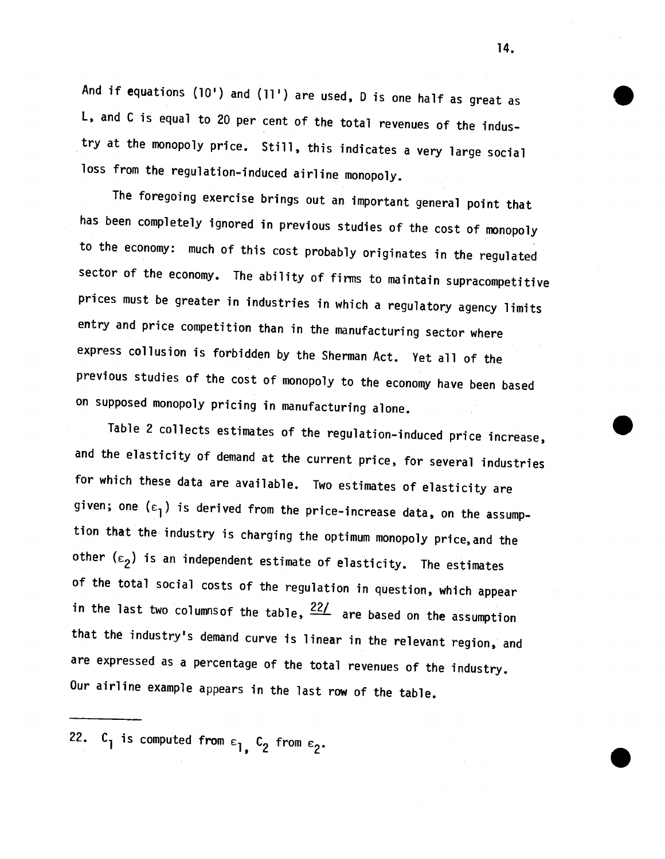And if equations (10') and (11') are used, D is one half as great as L, and C is equal to 20 per cent of the total revenues of the industry at the monopoly price. Still, this indicates a very large social loss from the regulation-induced airline monopoly.

The foregoing exercise brings out an important general point that has been completely ignored in previous studies of the cost of monopoly to the economy: much of this cost probably originates in the regulated sector of the economy. The ability of firms to maintain supracompetitive prices must be greater in industries in which a regulatory agency limits entry and price competition than in the manufacturing sector where express collusion is forbidden by the Sherman Act. Yet all of the previous studies of the cost of monopoly to the economy have been based on supposed monopoly pricing in manufacturing alone.

Table 2 collects estimates of the regulation-induced price increase, and the elasticity of demand at the current price, for several industries for which these data are available. Two estimates of elasticity are given; one  $(\epsilon_1)$  is derived from the price-increase data, on the assumption that the industry is charging the optimum monopoly price,and the other ( $\epsilon$ <sub>2</sub>) is an independent estimate of elasticity. The estimates of the total social costs of the regulation in question, which appear in the last two columnsof the table,  $\frac{221}{}$  are based on the assumption that the industry's demand curve is linear in the relevant region, and are expressed as a percentage of the total revenues of the industry. Our airline example appears in the last row of the table.

22.  $C_1$  is computed from  $\varepsilon_1$ ,  $C_2$  from  $\varepsilon_2$ .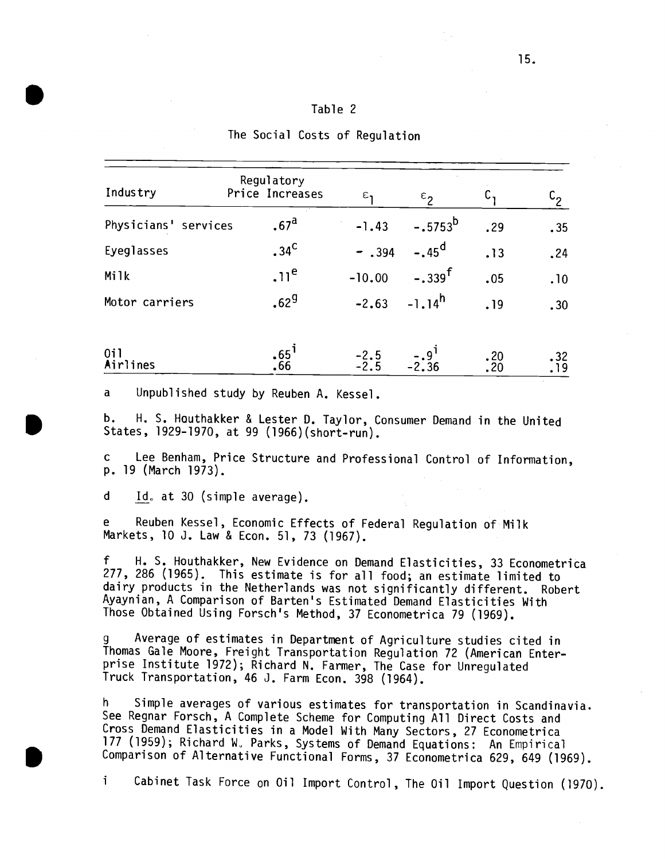# Table 2

| Industry             | Regulatory<br>Price Increases | $\varepsilon$ <sub>1</sub> | $\varepsilon$ 2      |                   | $v_2$            |
|----------------------|-------------------------------|----------------------------|----------------------|-------------------|------------------|
| Physicians' services | .67 <sup>a</sup>              | $-1.43$                    | $-.5753^b$           | .29               | .35              |
| Eyeglasses           | .34 <sup>C</sup>              | $-.394$                    | $-0.45^d$            | .13               | .24              |
| Milk                 | .11 <sup>e</sup>              | $-10,00$                   | $-.339$ <sup>f</sup> | .05               | .10              |
| Motor carriers       | .62 <sup>9</sup>              |                            | $-2.63 -1.14^{h}$    | .19               | .30              |
| 0i 1<br>Airlines     | $.65$<br>.66                  | $-2.5$                     | $-2.36$              | $\frac{.20}{.20}$ | $: 32$<br>$: 19$ |

The Social Costs of Regulation

a Unpublished study by Reuben A. Kessel.

b. H. S. Houthakker & Lester D. Taylor, Consumer Demand in the United States, 1929-1970, at 99 (1966)(short-run).

c Lee Benham, Price Structure and Professional Control of Information, p. 19 (March 1973).

d Id, at 30 (simple average).

e Reuben Kessel, Economic Effects of Federal Regulation of Milk Markets, 10 J. Law & Econ. 51, 73 (1967).

f H. S. Houthakker, New Evidence on Demand Elasticities, 33 Econometrica 277, 286 (1965). This estimate is for all food; an estimate limited to dairy products in the Netherlands was not significantly different. Robert Ayaynian, A Comparison of Barten's Estimated Demand Elasticities With Those Obtained Using Forsch's Method, 37 Econometrica 79 (1969).

Average of estimates in Department of Agriculture studies cited in Thomas Gale Moore, Freight Transportation Regulation 72 (American Enterprise Institute 1972); Richard N. Farmer, The Case for Unregulated Truck Transportation, 46 J. Farm Econ. 398 (1964).

<sup>h</sup> Simple averages of various estimates for transportation in Scandinavia. See Regnar Forsch, A Complete Scheme for Computing All Direct Costs and Cross Demand Elasticities in a Model With Many Sectors, 27 Econometrica 177 (1959); Richard W, Parks, Systems of Demand Equations: An Empirical Comparison of Alternative Functional Forms, 37 Econometrica 629, 649 (1969).

<sup>i</sup> Cabinet Task Force on Oil Import Control, The Oil Import Question (1970).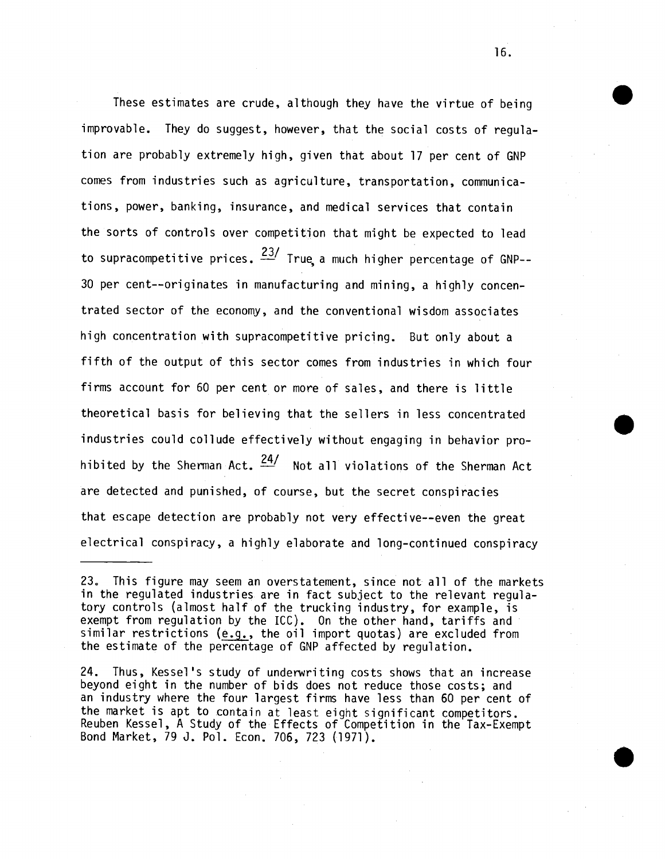These estimates are crude, although they have the virtue of being improvable. They do suggest, however, that the social costs of regulation are probably extremely high, given that about 17 per cent of GNP comes from industries such as agriculture, transportation, communications, power, banking, insurance, and medical services that contain the sorts of controls over competition that might be expected to lead to supracompetitive prices.  $\frac{23}{1}$  True a much higher percentage of GNP--30 per cent——originates in manufacturing and mining, a highly concentrated sector of the economy, and the conventional wisdom associates high concentration with supracompetitive pricing. But only about a fifth of the output of this sector comes from industries in which four firms account for 60 per cent or more of sales, and there is little theoretical basis for believing that the sellers in less concentrated industries could collude effectively without engaging in behavior prohibited by the Sherman Act.  $\frac{24}{1}$  Not all violations of the Sherman Act are detected and punished, of course, but the secret conspiracies that escape detection are probably not very effective-—even the great electrical conspiracy, a highly elaborate and long-continued conspiracy

24. Thus, Kessel's study of underwriting costs shows that an increase beyond eight in the number of bids does not reduce those costs; and an industry where the four largest firms have less than 60 per cent of the market is apt to contain at least eight significant competitors. Reuben Kessel, A Study of the Effects of Competition in the Tax-Exempt Bond Market, 79 J. Pol. Econ. 706, 723 (1971). .

<sup>23.</sup> This figure may seem an overstatement, since not all of the markets in the regulated industries are in fact subject to the relevant regulatory controls (almost half of the trucking industry, for example, is exempt from regulation by the ICC). On the other hand, tariffs and similar restrictions (e.g., the oil import quotas) are excluded from the estimate of the percentage of GNP affected by regulation.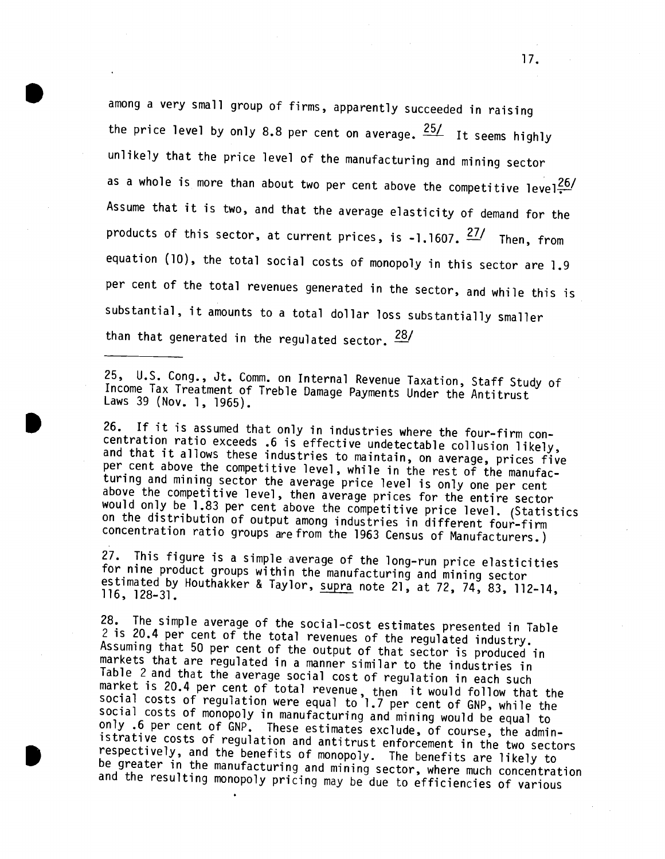among a very small group of firms, apparently succeeded in raising the price level by only 8.8 per cent on average.  $25/$  It seems highly unlikely that the price level of the manufacturing and mining sector as a whole is more than about two per cent above the competitive level $\frac{26}{1}$ Assume that it is two, and that the average elasticity of demand for the products of this sector, at current prices, is  $-1.1607$ .  $27/$  Then, from equation (10), the total social costs of monopoly in this sector are 1.9 per cent of the total revenues generated in the sector, and while this is substantial, it amounts to a total dollar loss substantially smaller than that generated in the regulated sector. 28/

25, U.S. Cong.., Jt. Comm. on Internal Revenue Taxation, Staff Study of Income Tax Treatment of Treble Damage Payments Under the Antitrust Laws 39 (Nov. 1, 1965).

26. If it is assumed that only in industries where the four-firm con- centration ratio exceeds .6 is effective undetectable collusion likely, and that it allows these industries to maintain, on average, prices five per cent above the competitive level, while in the rest of the manufacturing and mining sector the average price level is only one per cent above the competitive level, then average prices for the entire sector would only be 1.83 per cent above the competitive price level. (Statistics on the distribution of output among industries in different four-firm concentration ratio groups are from the 1963 Census of Manufacturers.)

27. This figure is a simple average of the long-run price elasticities for nine product groups within the manufacturing and mining sector estimated by Houthakker & Taylor, supra note 21, at 72, 74, 83, 112-14, 116, 128—31.

28. The simple average of the social-cost estimates presented in Table<br>2 is 20.4 per cent of the total revenues of the regulated industry. Assuming that 50 per cent of the output of that sector is produced in<br>markets that are regulated in a manner similar to the industries in Table 2 and that the average social cost of regulation in each such market is 20.4 per cent of total revenue, then it would follow that the social costs of regulation were equal to 1.7 per cent of GNP, while the social costs of monopoly in manufacturing and mining would be equal to social costs of monopoly in manufacturing and mining would be equal to<br>only .6 per cent of GNP. These estimates exclude, of course, the admin-<br>istrative costs of moqulation and istrative costs of regulation and antitrust enforcement in the two sectors respectively, and the benefits of monopoly. The benefits are likely to be greater in the manufacturing and mining sector, where much concentration and the resulting monopoly pricing may be due to efficiencies of various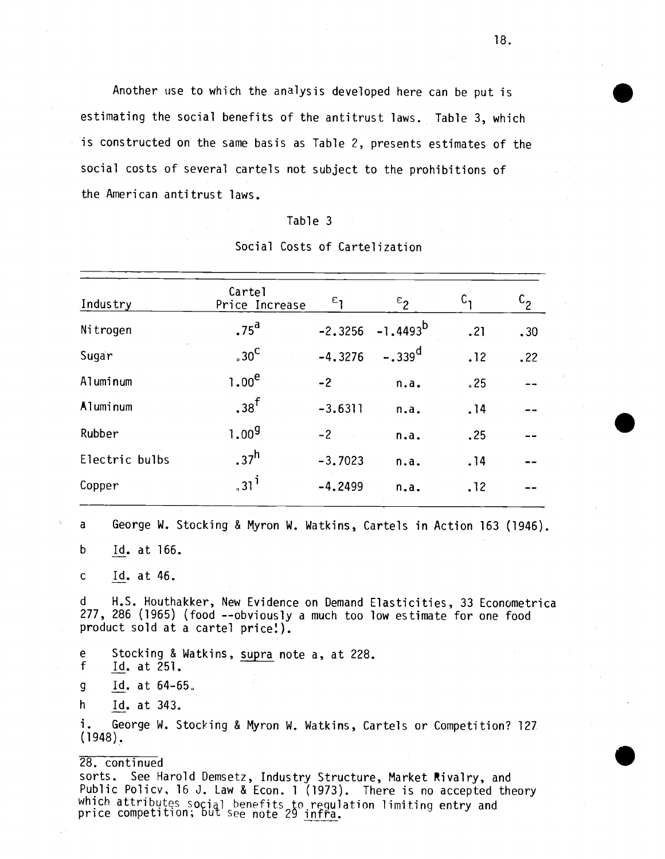Another use to which the analysis developed here can be put is estimating the social benefits of the antitrust laws. Table 3, which is constructed on the same basis as Table 2, presents estimates of the social costs of several cartels not subject to the prohibitions of the American antitrust laws.

| Industry       | Cartel<br>Price Increase | $\varepsilon$ <sub>1</sub> | $\varepsilon$ <sub>2</sub> |     | $\mathfrak{c}_2$ |
|----------------|--------------------------|----------------------------|----------------------------|-----|------------------|
| Nitrogen       | .75 <sup>d</sup>         | $-2.3256$                  | $-1.4493^b$                | .21 | .30              |
| Sugar          | .30 <sup>C</sup>         | $-4,3276$                  | $-.339d$                   | .12 | .22              |
| Aluminum       | 1.00 <sup>e</sup>        | $-2$                       | n.a.                       | .25 |                  |
| Aluminum       | .38 <sup>f</sup>         | $-3.6311$                  | n.a.                       | .14 |                  |
| Rubber         | 1.00 <sup>9</sup>        | $-2$                       | n.a.                       | .25 |                  |
| Electric bulbs | .37 <sup>h</sup>         | $-3.7023$                  | n.a.                       | .14 |                  |
| Copper         | $31^1$                   | $-4.2499$                  | n.a.                       | .12 |                  |
|                |                          |                            |                            |     |                  |

Social Costs of Cartelization

a George W. Stocking & Myron W. Watkins, Cartels in Action 163 (1946).

b Id. at 166.

c Id. at 46.

d H.S. Houthakker, New Evidence on Demand Elasticities, 33 Econometrica 277, 286 (1965) (food --obviously a much too low estimate for one food product sold at a cartel price:).

e Stocking & Watkins, supra note a, at 228.<br>f Id. at 251.

- Id. at 251.
- g Id. at 64—65.
- h Id. at 343.

i. George W. Stocking & Myron W. Watkins, Cartels or Competition? 127 (1948).

28. continued

sorts. See Harold Demsetz, Industry Structure, Market Rivalry, and<br>Public Policy, 16 J. Law & Econ. 1 (1973). There is no accepted theory Public Policy, 16 J. Law & Econ. 1 (1973). There is no accepted theory<br>which attributes social benefits to regulation limiting entry and price competition; but see note 29 <u>infra</u>.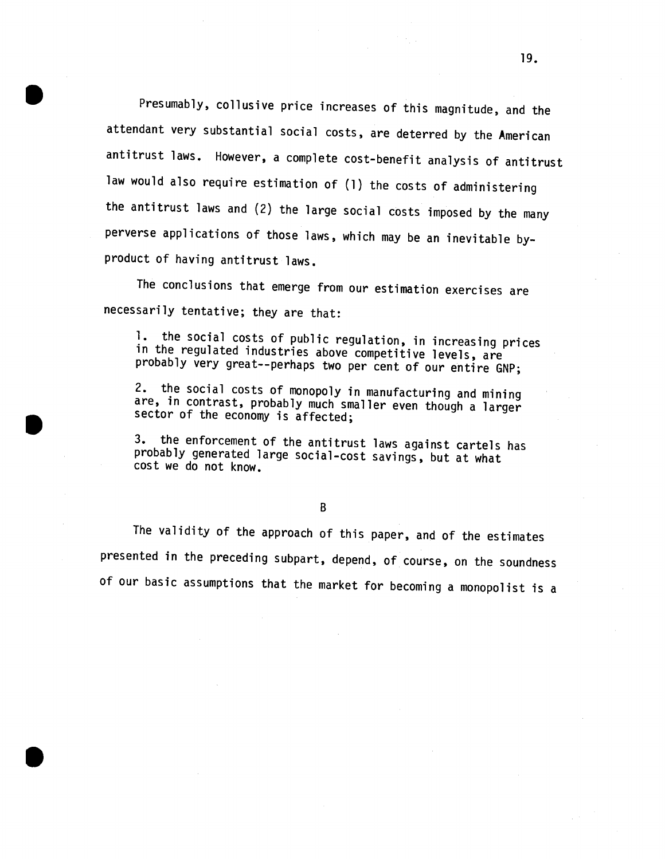Presumably, collusive price increases of this magnitude, and the attendant very substantial social costs, are deterred by the American antitrust laws. However, a complete cost-benefit analysis of antitrust law would also require estimation of (1) the costs of administering the antitrust laws and (2) the large social costs imposed by the many perverse applications of those laws, which may be an inevitable byproduct of having antitrust laws.

The conclusions that emerge from our estimation exercises are necessarily tentative; they are that:

1. the social costs of public regulation, in increasing prices in the regulated industries above competitive levels, are probably very great--perhaps two per cent of our entire GNP;

2. the social costs of monopoly in manufacturing and mining are, in contrast, probably much smaller even though a larger sector of the economy is affected;

3. the enforcement of the antitrust laws against cartels has probably generated large social-cost savings, but at what cost we do not know.

### B<sub>a</sub>

The validity of the approach of this paper, and of the estimates presented in the preceding subpart, depend, of course, on the soundness of our basic assumptions that the market for becoming a monopolist is a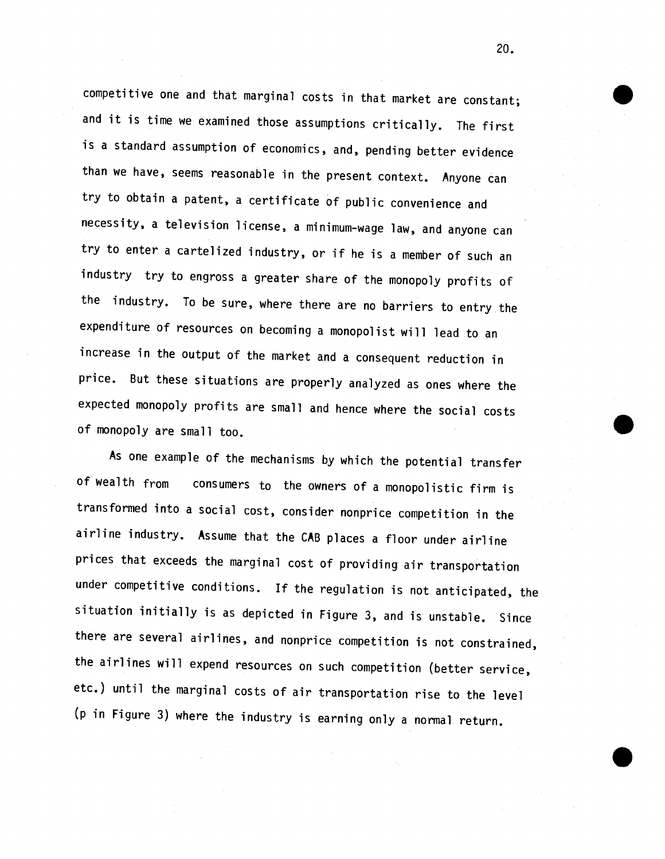competitive one and that marginal costs in that market are constant; and it is time we examined those assumptions critically. The first is a standard assumption of economics, and, pending better evidence than we have, seems reasonable in the present context. Anyone can try to obtain a patent, a certificate of public convenience and necessity, a television license, a minimum—wage law, and anyone can try to enter a cartelized industry, or if he is a member of such an industry try to engross a greater share of the monopoly profits of the industry. To be sure, where there are no barriers to entry the expenditure of resources on becoming a monopolist will lead to an increase in the output of the market and a consequent reduction in price. But these situations are properly analyzed as ones where the expected monopoly profits are small and hence where the social costs of monopoly are small too.

As one example of the mechanisms by which the potential transfer of wealth from consumers to the owners of a monopolistic firm is transformed into a social cost, consider nonprice competition in the airline industry. Assume that the CAB places a floor under airline prices that exceeds the marginal cost of providing air transportation under competitive conditions. If the regulation is not anticipated, the situation initially is as depicted in Figure 3, and is unstable. Since there are several airlines, and nonprice competition is not constrained, the airlines will expend resources on such competition (better service, etc.) until the marginal costs of air transportation rise to the level (p in Figure 3) where the industry is earning only a normal return.

20.

 $\bullet$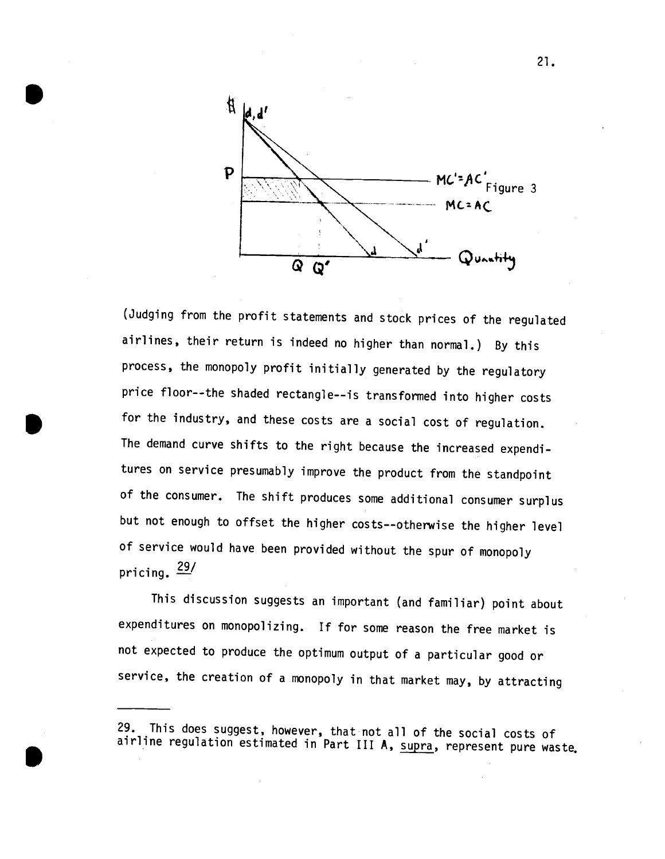![](_page_21_Figure_0.jpeg)

(Judging from the profit statements and stock prices of the regulated airlines, their return is indeed no higher than normal.) By this process, the monopoly profit initially generated by the regulatory price floor--the shaded rectangle-—is transformed into higher costs for the industry, and these costs are a social cost of regulation. The demand curve shifts to the right because the increased expenditures on service presumably improve the product from the standpoint of the consumer. The shift produces some additional consumer surplus but not enough to offset the higher costs—-otherwise the higher level of service would have been provided without the spur of monopoly pricing.  $\frac{29}{3}$ 

This discussion suggests an important (and familiar) point about expenditures on monopolizing. If for some reason the free market is not expected to produce the optimum output of a particular good or service, the creation of a monopoly in that market may, by attracting

<sup>29.</sup> This does suggest, however, that not all of the social costs of airline regulation estimated in Part III A, supra, represent pure waste.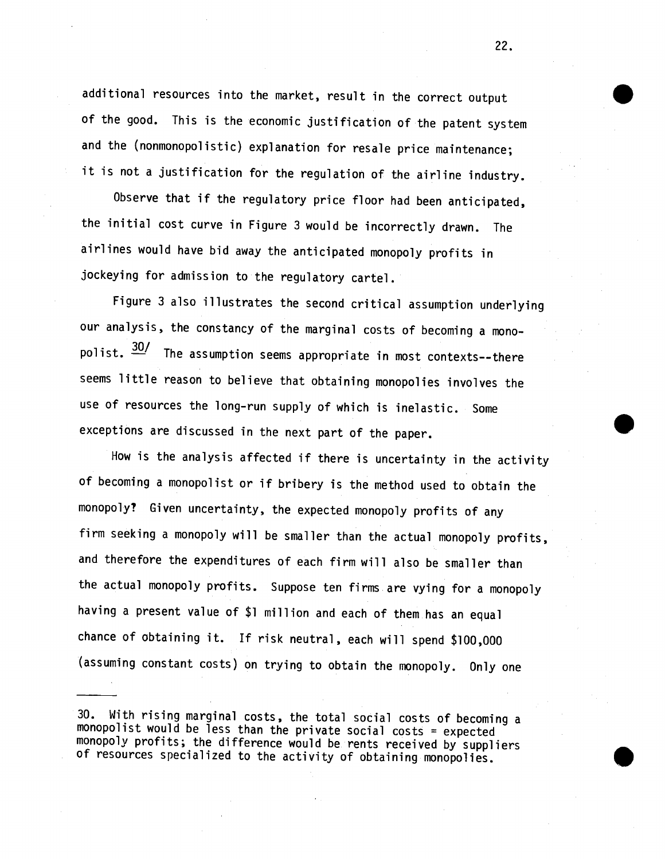additional resources into the market, result in the correct output of the good. This is the economic justification of the patent system and the (nonmonopolistic) explanation for resale price maintenance; it is not a justification for the regulation of the airline industry.

Observe that if the regulatory price floor had been anticipated, the initial cost curve in Figure 3 would be incorrectly drawn. The airlines would have bid away the anticipated monopoly profits in jockeying for admission to the regulatory cartel.

Figure 3 also illustrates the second critical assumption underlying our analysis, the constancy of the marginal costs of becoming a monopolist.  $\frac{30}{ }$  The assumption seems appropriate in most contexts--there seems little reason to believe that obtaining monopolies involves the use of resources the long—run supply of which is inelastic. Some exceptions are discussed in the next part of the paper.

How is the analysis affected if there is uncertainty in the activity of becoming a monopolist or if bribery is the method used to obtain the monopoly? Given uncertainty, the expected monopoly profits of any firm seeking a monopoly will be smaller than the actual monopoly profits, and therefore the expenditures of each firm will also be smaller than the actual monopoly profits. Suppose ten firms are vying for a monopoly having a present value of \$1 million and each of them has an equal chance of obtaining it. If risk neutral, each will spend \$100,000 (assuming constant costs) on trying to obtain the monopoly. Only one

30. With rising marginal costs, the total social costs of becoming a monopolist would be less than the private social costs = expected monopoly profits; the difference would be rents received by suppliers of resources specialized to the activity of obtaining monopolies.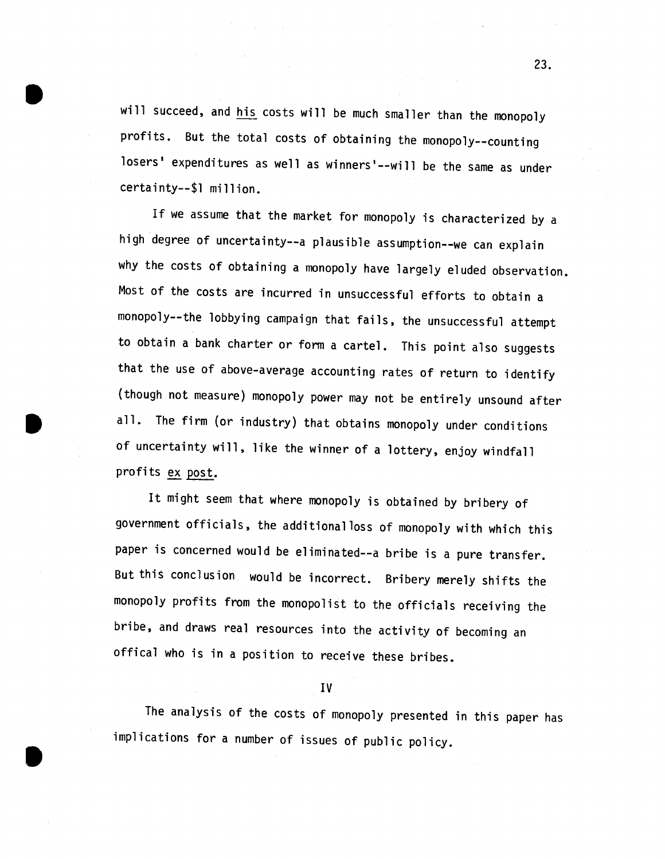will succeed, and his costs will be much smaller than the monopoly profits. But the total costs of obtaining the monopoly--counting losers' expenditures as well as winners'--wil] be the same as under certainty——\$l million.

If we assume that the market for monopoly is characterized by a high degree of uncertainty--a plausible assumption--we can explain why the costs of obtaining a monopoly have largely eluded observation. Most of the costs are incurred in unsuccessful efforts to obtain a monopoly--the lobbying campaign that fails, the unsuccessful attempt to obtain a bank charter or form a cartel. This point also suggests that the use of above-average accounting rates of return to identify (though not measure) monopoly power may not be entirely unsound after all. The firm (or industry) that obtains monopoly under conditions of uncertainty will, like the winner of a lottery, enjoy windfall profits ex post.

It might seem that where monopoly is obtained by bribery of government officials, the additional loss of monopoly with which this paper is concerned would be eliminated--a bribe is a pure transfer. But this conclusion would be incorrect. Bribery merely shifts the monopoly profits from the monopolist to the officials receiving the bribe, and draws real resources into the activity of becoming an offical who is in a position to receive these bribes.

Iv

The analysis of the costs of monopoly presented in this paper has implications for a number of issues of public policy.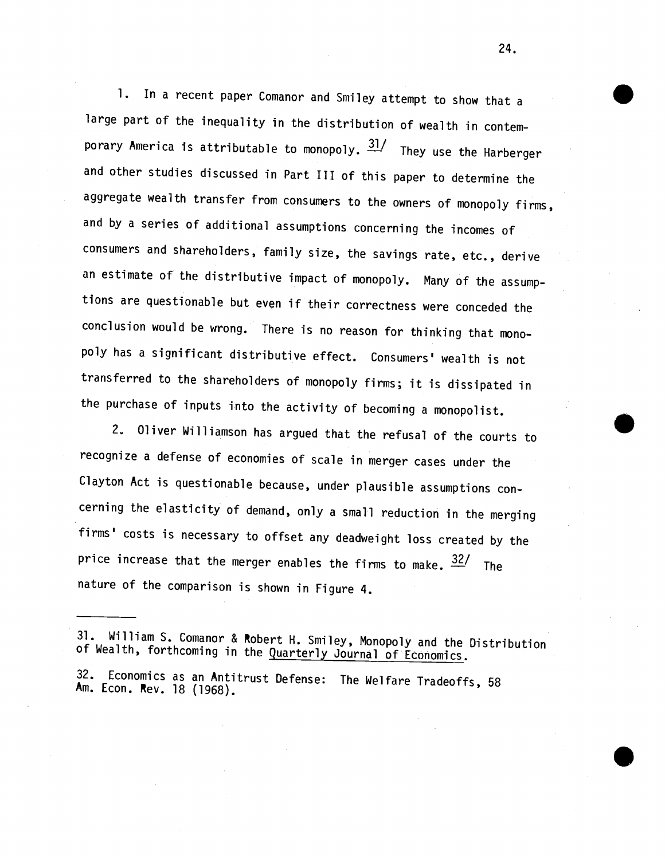1. In a recent paper Comanor and Smiley attempt to show that a large part of the inequality in the distribution of wealth in contemporary America is attributable to monopoly.  $\frac{31}{ }$  They use the Harberger and other studies discussed in Part III of this paper to determine the aggregate wealth transfer from consumers to the owners of monopoly firms, and by a series of additional assumptions concerning the incomes of consumers and shareholders, family size, the savings rate, etc., derive an estimate of the distributive impact of monopoly. Many of the assumptions are questionable but even if their correctness were conceded the conclusion would be wrong. There is no reason for thinking that monopoly has a significant distributive effect. Consumers' wealth is not transferred to the shareholders of monopoly firms; it is dissipated in the purchase of inputs into the activity of becoming a monopolist.

2, Oliver Williamson has argued that the refusal of the courts to recognize a defense of economies of scale in merger cases under the Clayton Act is questionable because, under plausible assumptions concerning the elasticity of demand, only a small reduction in the merging firms' costs is necessary to offset any deadweight loss created by the price increase that the merger enables the firms to make.  $32/$  The nature of the comparison is shown in Figure 4.

24.

 $\bullet$ 

<sup>31.</sup> William S. Comanor & Robert H. Smiley, Monopoly and the Distribution of Wealth, forthcoming in the Quarterly Journal of Economics.

<sup>32.</sup> Economics as an Antitrust Defense: The Welfare Tradeoffs, 58<br>Am. Econ. Rev. 18 (1968).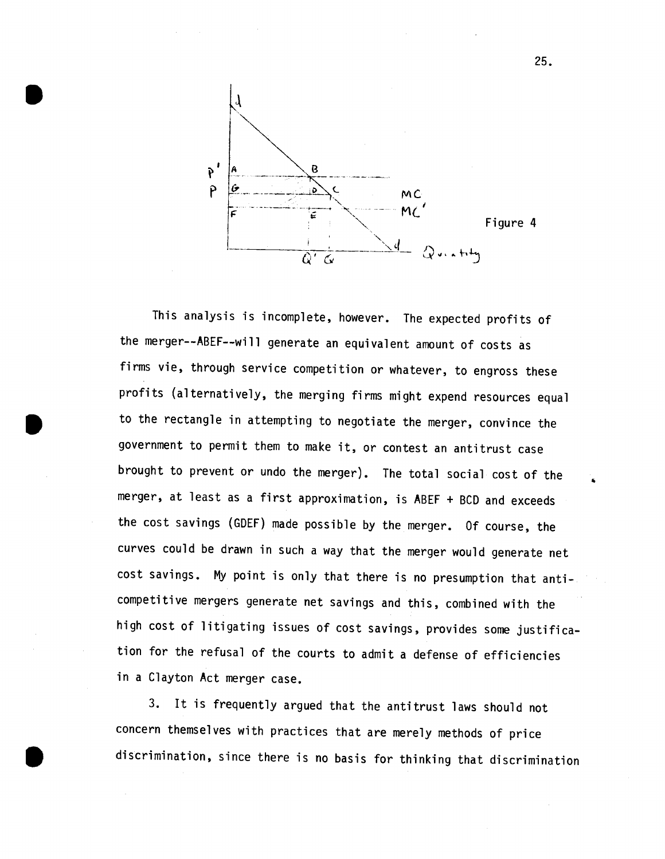![](_page_25_Figure_0.jpeg)

This analysis is incomplete, however. The expected profits of the merger—-ABEF-—will generate an equivalent amount of costs as firms vie, through service competition or whatever, to engross these profits (alternatively, the merging firms might expend resources equal to the rectangle in attempting to negotiate the merger, convince the government to permit them to make it, or contest an antitrust case brought to prevent or undo the merger). The total social cost of the merger, at least as a first approximation, is ABEF + BCD and exceeds the cost savings (GDEF) made possible by the merger. Of course, the curves could be drawn in such a way that the merger would generate net cost savings. My point is only that there is no presumption that anticompetitive mergers generate net savings and this, combined with the high cost of litigating issues of cost savings, provides some justification for the refusal of the courts to admit a defense of efficiencies in a Clayton Act merger case.

3. It is frequently argued that the antitrust laws should not concern themselves with practices that are merely methods of price discrimination, since there is no basis for thinking that discrimination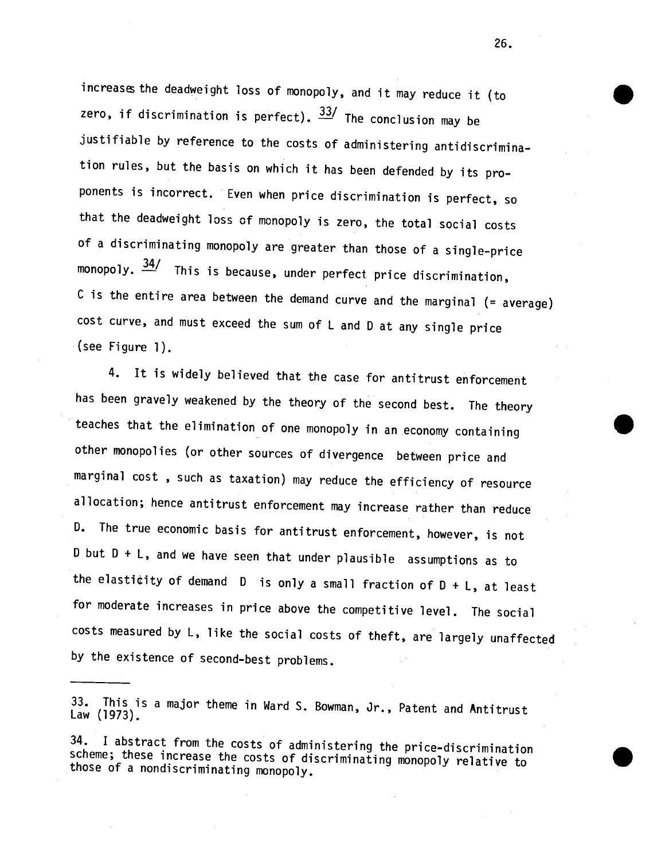increase. the deadweight loss of monopoly, and it may reduce it (to zero, if discrimination is perfect).  $\frac{33}{ }$  The conclusion may be justifiable by reference to the costs of administering antidiscrimination rules, but the basis on which it has been defended by its proponents is incorrect. Even when price discrimination is perfect, so that the deadweight loss of monopoly is zero, the total social costs of a discriminating monopoly are greater than those of a single—price monopoly.  $\frac{34}{100}$  This is because, under perfect price discrimination, C is the entire area between the demand curve and the marginal (= average) cost curve, and must exceed the sum of L and D at any single price (see Figure 1).

4. It is widely believed that the case for antitrust enforcement has been gravely weakened by the theory of the second best. The theory teaches that the elimination of one monopoly in an economy containing other monopolies (or other sources of divergence between price and marginal cost , such as taxation) may reduce the efficiency of resource allocation; hence antitrust enforcement may increase rather than reduce D. The true economic basis for antitrust enforcement, however, is not D but D + L, and we have seen that under plausible assumptions as to the elasticity of demand  $D$  is only a small fraction of  $D + L$ , at least for moderate increases in price above the competitive level. The social costs measured by L, like the social costs of theft, are largely unaffected by the existence of second—best problems.

33. This is a major theme in Ward S. Bowman, Jr., Patent and Antitrust Law (1973).

34. I abstract from the costs of administering the price-discrimination scheme; these increase the costs of discriminating monopoly relative to those of a nondiscriminating monopoly.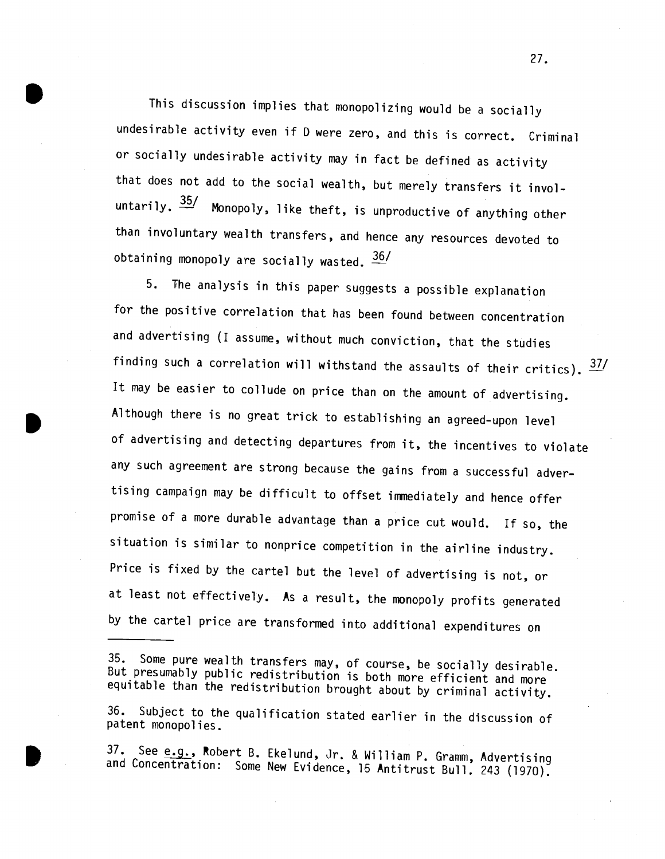This discussion implies that monopolizing would be a socially undesirable activity even if D were zero, and this is correct. Criminal or socially undesirable activity may in fact be defined as activity that does not add to the social wealth, but merely transfers it involuntarily.  $\frac{35}{ }$  Monopoly, like theft, is unproductive of anything other than involuntary wealth transfers, and hence any resources devoted to obtaining monopoly are socially wasted. 36/

5. The analysis in this paper suggests a possible explanation for the positive correlation that has been found between concentration and advertising (I assume, without much conviction, that the studies finding such a correlation will withstand the assaults of their critics).  $\frac{37}{1}$ It may be easier to collude on price than on the amount of advertising. Although there is no great trick to establishing an agreed-upon level of advertising and detecting departures from it, the incentives to violate any such agreement are strong because the gains from a successful advertising campaign may be difficult to offset immediately and hence offer promise of a more durable advantage than a price cut would. If so, the situation is similar to nonprice competition in the airline industry. Price is fixed by the cartel but the level of advertising is not, or at least not effectively. As a result, the monopoly profits generated by the cartel price are transformed into additional expenditures on

35. Some pure wealth transfers may, of course, be socially desirable. But presumably public redistribution is both more efficient and more equitable than the redistribution brought about by criminal activity.

36. Subject to the qualification stated earlier in the discussion of patent monopolies.

37. See e.g., Robert B. Ekelund, Jr. & William P. Gramm, Advertising<br>and Concentration: Some New Evidence, 15 Antitrust Bull. 243 (1970).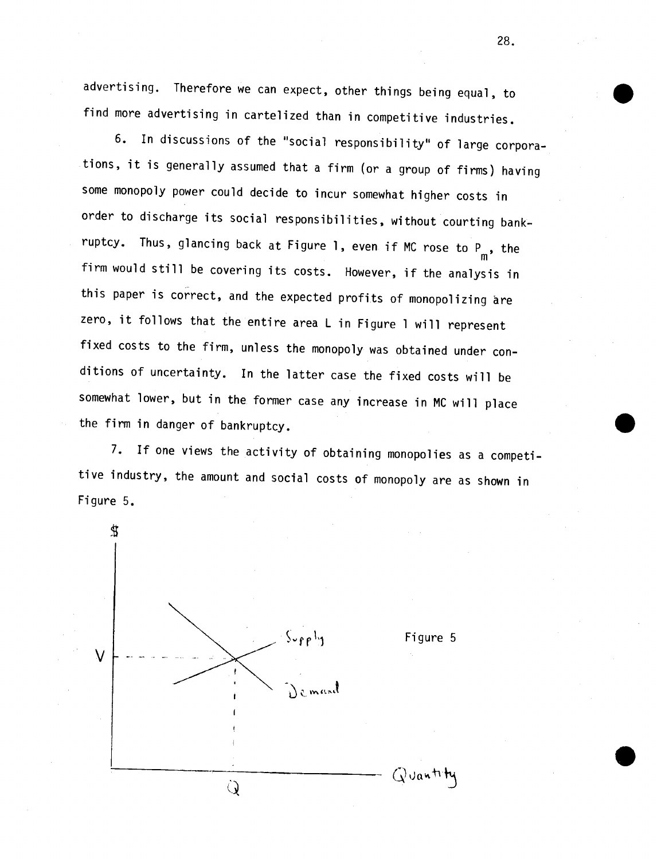advertising. Therefore we can expect, other things being equal, to find more advertising in cartelized than in competitive industries.

6. In discussions of the "social responsibility" of large corporations, it is generally assumed that a firm (or a group of firms) having some monopoly power could decide to incur somewhat higher costs in order to discharge its social responsibilities, without courting bankruptcy. Thus, glancing back at Figure 1, even if MC rose to  $P_m$ , the firm would still be covering its costs. However, if the analysis in this paper is correct, and the expected profits of monopolizing are zero, it follows that the entire area L in Figure 1 will represent fixed costs to the firm, unless the monopoly was obtained under conditions of uncertainty. In the latter case the fixed costs will be somewhat lower, but in the former case any increase in MC will place the firm in danger of bankruptcy.

7. If one views the activity of obtaining monopolies as a competitive industry, the amount and social costs of monopoly are as shown in Figure 5.

![](_page_28_Figure_3.jpeg)

28.

 $\bullet$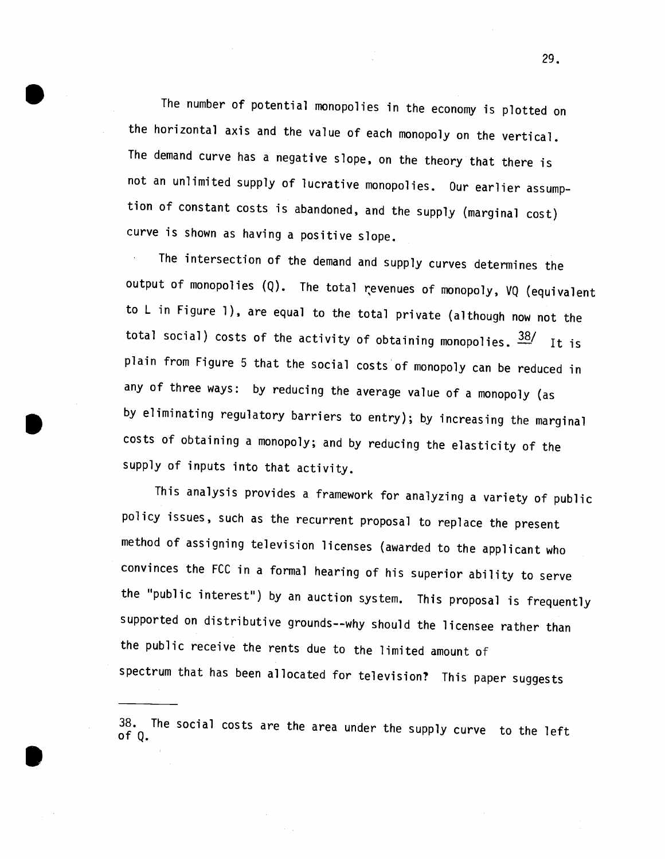The number of potential monopolies in the economy is plotted on the horizontal axis and the value of each monopoly on the vertical. The demand curve has a negative slope, on the theory that there is not an unlimited supply of lucrative monopolies. Our earlier assumption of constant costs is abandoned, and the supply (marginal cost) curve is shown as having a positive slope.

The intersection of the demand and supply curves determines the output of monopolies (Q). The total revenues of monopoly, VQ (equivalent to L in Figure 1), are equal to the total private (although now not the total social) costs of the activity of obtaining monopolies.  $\frac{38}{1}$  It is plain from Figure 5 that the social costs of monopoly can be reduced in any of three ways: by reducing the average value of a monopoly (as by eliminating regulatory barriers to entry); by increasing the marginal costs of obtaining a monopoly; and by reducing the elasticity of the supply of inputs into that activity.

This analysis provides a framework for analyzing a variety of public policy issues, such as the recurrent proposal to replace the present method of assigning television licenses (awarded to the applicant who convinces the FCC in a formal hearing of his superior ability to serve the "public interest") by an auction system. This proposal is frequently supported on distributive grounds--why should the licensee rather than the public receive the rents due to the limited amount of spectrum that has been allocated for television? This paper suggests

<sup>38.</sup> The social costs are the area under the supply curve to the left of 0.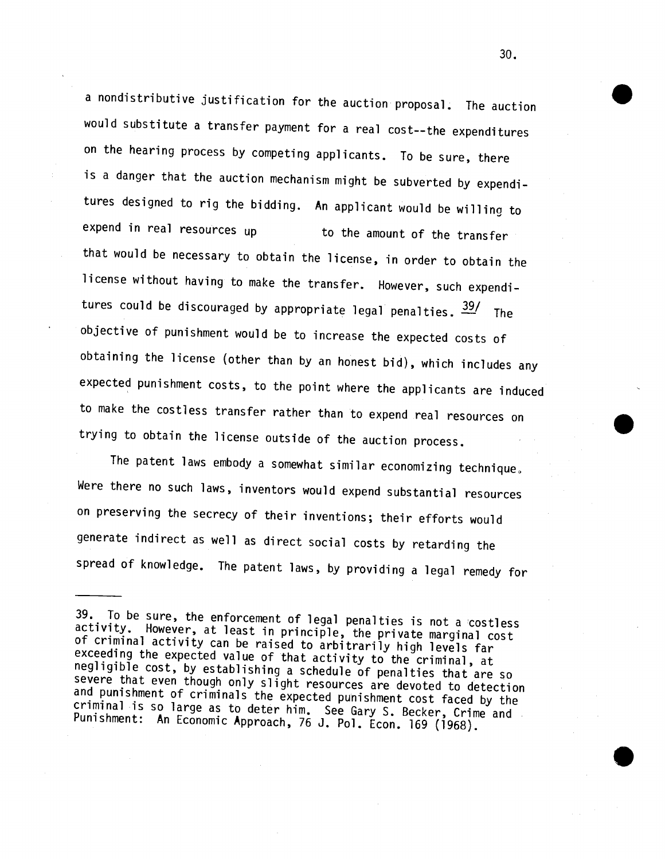a nondistributive justification for the auction proposal. The auction would substitute a transfer payment for a real cost--the expenditures on the hearing process by competing applicants. To be sure, there is a danger that the auction mechanism might be subverted by expenditures designed to rig the bidding. An applicant would be willing to expend in real resources up to the amount of the transfer that would be necessary to obtain the license, in order to obtain the license without having to make the transfer. However, such expenditures could be discouraged by appropriate legal penalties.  $\frac{39}{ }$  The objective of punishment would be to increase the expected costs of obtaining the license (other than by an honest bid), which includes any expected punishment costs, to the point where the applicants are induced to make the costless transfer rather than to expend real resources on trying to obtain the license outside of the auction process.

The patent laws embody a somewhat similar economizing technique. Were there no such laws, inventors would expend substantial resources on preserving the secrecy of their inventions; their efforts would generate indirect as well as direct social costs by retarding the spread of knowledge. The patent laws, by providing a legal remedy for

30.

<sup>39.</sup> To be sure, the enforcement of legal penalties is not a costless activity. However, at least in principle, the private marginal cost of criminal activity can be raised to arbitrarily high levels far exceeding the expected value of that activity to the criminal, at<br>negligible cost, by establishing a schedule of penalties that are so severe that even though only slight resources are devoted to detection<br>and punishment of criminals the expected punishment cost faced by the criminal is so large as to deter him. See Gary S. Becker, Crime and<br>Punishment: An Economic Approach, 76 J. Pol. Econ. 169 (1968).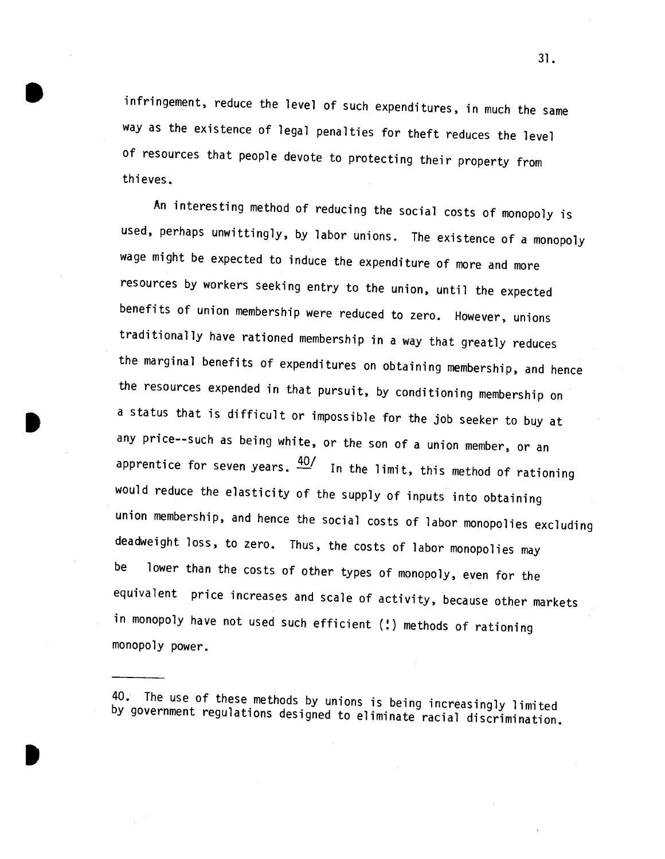infringement, reduce the level of such expenditures, in much the same way as the existence of legal penalties for theft reduces the level of resources that people devote to protecting their property from thieves.

An interesting method of reducing the social costs of monopoly is used, perhaps unwittingly, by labor unions. The existence of a monopoly wage might be expected to induce the expenditure of more and more resources by workers seeking entry to the union, until the expected benefits of union membership were reduced to zero. However, unions traditionally have rationed membership in a way that greatly reduces the marginal benefits of expenditures on obtaining membership, and hence the resources expended in that pursuit, by conditioning membership on a status that is difficult or impossible for the job seeker to buy at any price--such as being white, or the son of a union member, or an apprentice for seven years.  $\frac{40}{1}$  In the limit, this method of rationing would reduce the elasticity of the supply of inputs into obtaining union membership, and hence the social costs of labor monopolies excluding deadweight loss, to zero. Thus, the costs of labor monopolies may be lower than the costs of other types of monopoly, even for the equivalent price increases and scale of activity, because other markets in monopoly have not used such efficient (!) methods of rationing monopoly power.

40. The use of these methods by unions is being increasingly limited by government regulations designed to eliminate racial discrimination.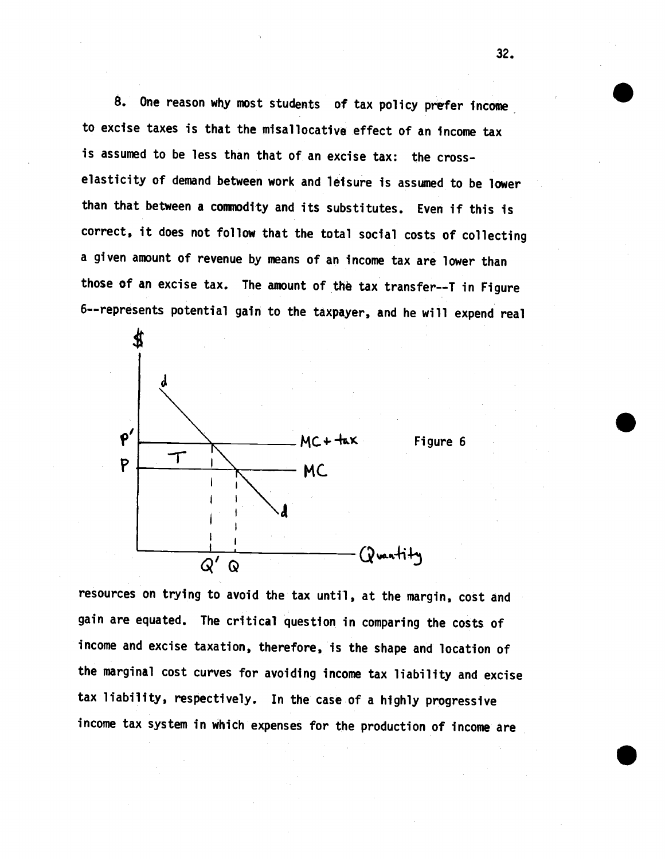8. One reason why most students of tax policy prefer income to excise taxes is that the misallocative effect of an income tax is assumed to be less than that of an excise tax: the cross elasticity of demand between work and leisure is assumed to be lower than that between a commodity and its substitutes. Even if this is correct, it does not follow that the total social costs of collecting a given amount of revenue by means of an income tax are lower than those of an excise tax. The amount of the tax transfer-—I in Figure 6--represents potential gain to the taxpayer, and he will expend real

![](_page_32_Figure_1.jpeg)

resources on trying to avoid the tax until, at the margin, cost and gain are equated. The critical question in comparing the costs of income and excise taxation, therefore, is the shape and location of the marginal cost curves for avoiding income tax liability and excise tax liability, respectively. In the case of a highly progressive income tax system in which expenses for the production of income are

32.

 $\bullet$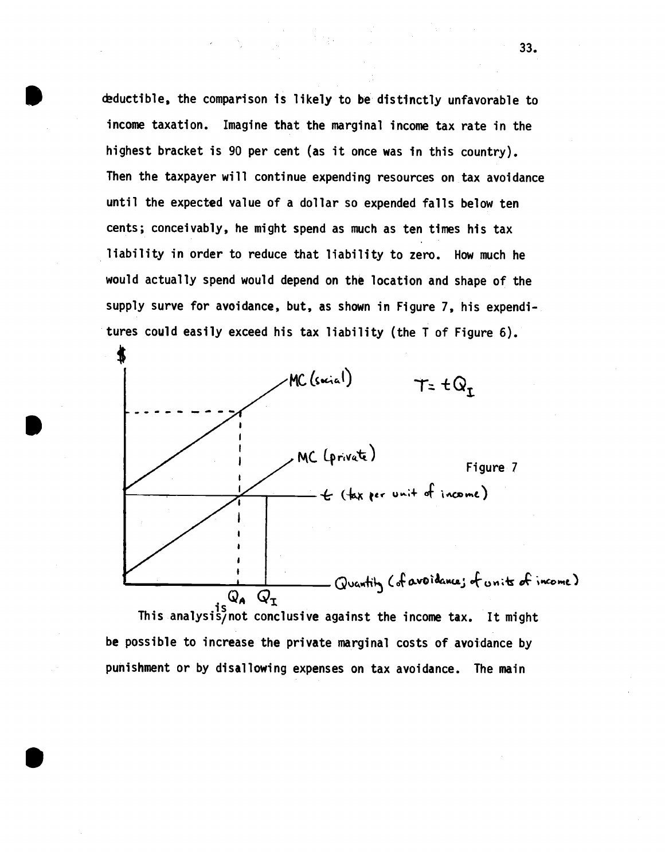ductible, the comparison is likely to be distinctly unfavorable to income taxation. Imagine that the marginal income tax rate in the highest bracket is 90 per cent (as it once was in this country). Then the taxpayer will continue expending resources on tax avoidance until the expected value of a dollar so expended falls below ten cents; conceivably, he might spend as much as ten times his tax liability in order to reduce that liability to zero. How much he would actually spend would depend on the location and shape of the supply surve for avoidance, but, as shown in Figure 7, his expenditures could easily exceed his tax liability (the I of Figure 6).

![](_page_33_Figure_1.jpeg)

be possible to increase the private marginal costs of avoidance by punishment or by disallowing expenses on tax avoidance. The main